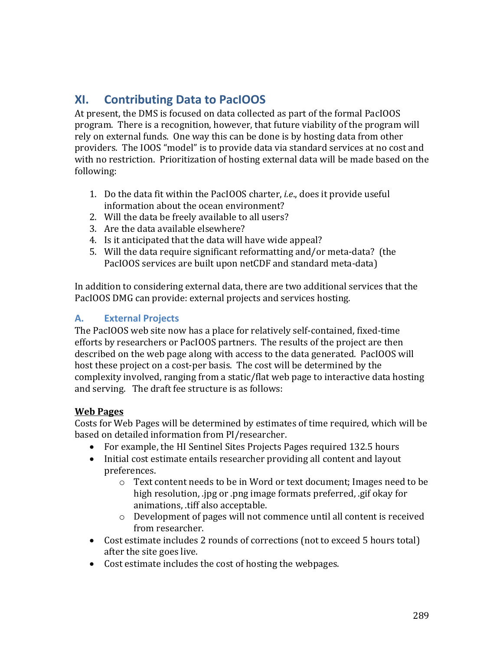# **XI. Contributing Data to PacIOOS**

At present, the DMS is focused on data collected as part of the formal PacIOOS program. There is a recognition, however, that future viability of the program will rely on external funds. One way this can be done is by hosting data from other providers. The IOOS "model" is to provide data via standard services at no cost and with no restriction. Prioritization of hosting external data will be made based on the following:

- 1. Do the data fit within the PacIOOS charter, *i.e.*, does it provide useful information about the ocean environment?
- 2. Will the data be freely available to all users?
- 3. Are the data available elsewhere?
- 4. Is it anticipated that the data will have wide appeal?
- 5. Will the data require significant reformatting and/or meta-data? (the PacIOOS services are built upon netCDF and standard meta-data)

In addition to considering external data, there are two additional services that the PacIOOS DMG can provide: external projects and services hosting.

# **A. External Projects**

The PacIOOS web site now has a place for relatively self-contained, fixed-time efforts by researchers or PacIOOS partners. The results of the project are then described on the web page along with access to the data generated. PacIOOS will host these project on a cost-per basis. The cost will be determined by the complexity involved, ranging from a static/flat web page to interactive data hosting and serving. The draft fee structure is as follows:

## **Web Pages**

Costs for Web Pages will be determined by estimates of time required, which will be based on detailed information from PI/researcher.

- For example, the HI Sentinel Sites Projects Pages required 132.5 hours
- Initial cost estimate entails researcher providing all content and layout preferences.
	- $\circ$  Text content needs to be in Word or text document; Images need to be high resolution, .jpg or .png image formats preferred, .gif okay for animations, .tiff also acceptable.
	- $\circ$  Development of pages will not commence until all content is received from researcher.
- Cost estimate includes 2 rounds of corrections (not to exceed 5 hours total) after the site goes live.
- Cost estimate includes the cost of hosting the webpages.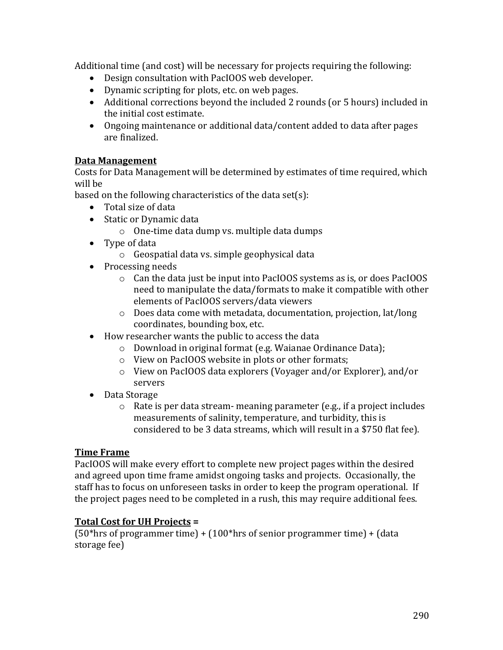Additional time (and cost) will be necessary for projects requiring the following:

- Design consultation with PacIOOS web developer.
- Dynamic scripting for plots, etc. on web pages.
- Additional corrections beyond the included 2 rounds (or 5 hours) included in the initial cost estimate.
- Ongoing maintenance or additional data/content added to data after pages are finalized.

#### **Data Management**

Costs for Data Management will be determined by estimates of time required, which will be

based on the following characteristics of the data set(s):

- Total size of data
- Static or Dynamic data
	- $\circ$  One-time data dump vs. multiple data dumps
- $\bullet$  Type of data
	- $\circ$  Geospatial data vs. simple geophysical data
- Processing needs
	- $\circ$  Can the data just be input into PacIOOS systems as is, or does PacIOOS need to manipulate the data/formats to make it compatible with other elements of PacIOOS servers/data viewers
	- $\circ$  Does data come with metadata, documentation, projection, lat/long coordinates, bounding box, etc.
- How researcher wants the public to access the data
	- o Download in original format (e.g. Waianae Ordinance Data);
	- $\circ$  View on PacIOOS website in plots or other formats;
	- $\circ$  View on PacIOOS data explorers (Voyager and/or Explorer), and/or servers
- Data Storage
	- $\circ$  Rate is per data stream- meaning parameter (e.g., if a project includes measurements of salinity, temperature, and turbidity, this is considered to be 3 data streams, which will result in a \$750 flat fee).

#### **Time Frame**

PacIOOS will make every effort to complete new project pages within the desired and agreed upon time frame amidst ongoing tasks and projects. Occasionally, the staff has to focus on unforeseen tasks in order to keep the program operational. If the project pages need to be completed in a rush, this may require additional fees.

#### **Total Cost for UH Projects =**

(50\*hrs of programmer time) +  $(100*$ hrs of senior programmer time) +  $(data$ storage fee)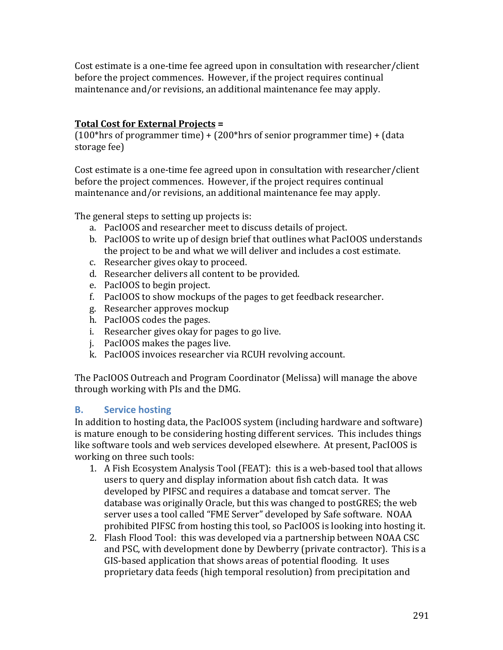Cost estimate is a one-time fee agreed upon in consultation with researcher/client before the project commences. However, if the project requires continual maintenance and/or revisions, an additional maintenance fee may apply.

## **Total Cost for External Projects =**

 $(100*$ hrs of programmer time) +  $(200*$ hrs of senior programmer time) +  $(data$ storage fee)

Cost estimate is a one-time fee agreed upon in consultation with researcher/client before the project commences. However, if the project requires continual maintenance and/or revisions, an additional maintenance fee may apply.

The general steps to setting up projects is:

- a. PacIOOS and researcher meet to discuss details of project.
- b. PacIOOS to write up of design brief that outlines what PacIOOS understands the project to be and what we will deliver and includes a cost estimate.
- c. Researcher gives okay to proceed.
- d. Researcher delivers all content to be provided.
- e. PacIOOS to begin project.
- f. PacIOOS to show mockups of the pages to get feedback researcher.
- g. Researcher approves mockup
- h. PacIOOS codes the pages.
- i. Researcher gives okay for pages to go live.
- j. PacIOOS makes the pages live.
- k. PacIOOS invoices researcher via RCUH revolving account.

The PacIOOS Outreach and Program Coordinator (Melissa) will manage the above through working with PIs and the DMG.

## **B. Service hosting**

In addition to hosting data, the PacIOOS system (including hardware and software) is mature enough to be considering hosting different services. This includes things like software tools and web services developed elsewhere. At present, PacIOOS is working on three such tools:

- 1. A Fish Ecosystem Analysis Tool (FEAT): this is a web-based tool that allows users to query and display information about fish catch data. It was developed by PIFSC and requires a database and tomcat server. The database was originally Oracle, but this was changed to postGRES; the web server uses a tool called "FME Server" developed by Safe software. NOAA prohibited PIFSC from hosting this tool, so PacIOOS is looking into hosting it.
- 2. Flash Flood Tool: this was developed via a partnership between NOAA CSC and PSC, with development done by Dewberry (private contractor). This is a GIS-based application that shows areas of potential flooding. It uses proprietary data feeds (high temporal resolution) from precipitation and